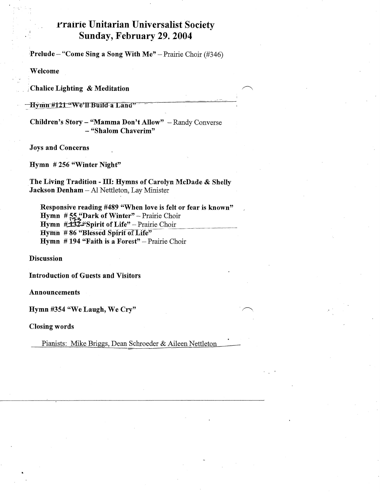## Prairie Unitarian Universalist Society Sunday, February 29. 2004

**Prelude** – "Come Sing a Song With Me" – Prairie Choir (#346)

Welcome

Chalice Lighting & Meditation

Hymn #121 "We'll Build a Land'

Children's Story - "Mamma Don't Allow" - Randy Converse - "Shalom Chaverim"

**Joys and Concerns** 

Hymn #256 "Winter Night"

The Living Tradition - III: Hymns of Carolyn McDade & Shelly Jackson Denham - Al Nettleton, Lay Minister

Responsive reading #489 "When love is felt or fear is known" Hymn #55. "Dark of Winter" - Prairie Choir Hymn #132#Spirit of Life" - Prairie Choir Hymn #86 "Blessed Spirit of Life" **Hymn** #194 "Faith is a Forest" - Prairie Choir

**Discussion** 

**Introduction of Guests and Visitors** 

**Announcements** 

Hymn #354 "We Laugh, We Cry"

**Closing words** 

Pianists: Mike Briggs, Dean Schroeder & Aileen Nettleton